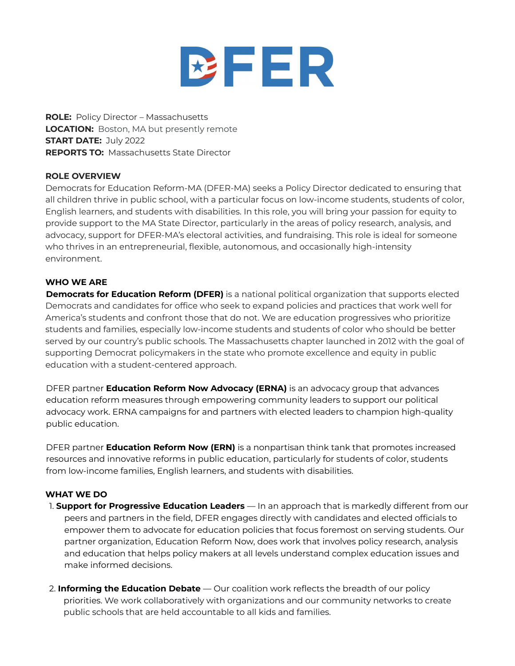

**ROLE:** Policy Director – Massachusetts **LOCATION:** Boston, MA but presently remote **START DATE:** July 2022 **REPORTS TO:** Massachusetts State Director

## **ROLE OVERVIEW**

Democrats for Education Reform-MA (DFER-MA) seeks a Policy Director dedicated to ensuring that all children thrive in public school, with a particular focus on low-income students, students of color, English learners, and students with disabilities. In this role, you will bring your passion for equity to provide support to the MA State Director, particularly in the areas of policy research, analysis, and advocacy, support for DFER-MA's electoral activities, and fundraising. This role is ideal for someone who thrives in an entrepreneurial, flexible, autonomous, and occasionally high-intensity environment.

#### **WHO WE ARE**

**Democrats for Education Reform (DFER)** is a national political organization that supports elected Democrats and candidates for office who seek to expand policies and practices that work well for America's students and confront those that do not. We are education progressives who prioritize students and families, especially low-income students and students of color who should be better served by our country's public schools. The Massachusetts chapter launched in 2012 with the goal of supporting Democrat policymakers in the state who promote excellence and equity in public education with a student-centered approach.

DFER partner **Education Reform Now Advocacy (ERNA)** is an advocacy group that advances education reform measures through empowering community leaders to support our political advocacy work. ERNA campaigns for and partners with elected leaders to champion high-quality public education.

DFER partner **Education Reform Now (ERN)** is a nonpartisan think tank that promotes increased resources and innovative reforms in public education, particularly for students of color, students from low-income families, English learners, and students with disabilities.

## **WHAT WE DO**

- 1. **Support for Progressive Education Leaders** In an approach that is markedly different from our peers and partners in the field, DFER engages directly with candidates and elected officials to empower them to advocate for education policies that focus foremost on serving students. Our partner organization, Education Reform Now, does work that involves policy research, analysis and education that helps policy makers at all levels understand complex education issues and make informed decisions.
- 2. **Informing the Education Debate** Our coalition work reflects the breadth of our policy priorities. We work collaboratively with organizations and our community networks to create public schools that are held accountable to all kids and families.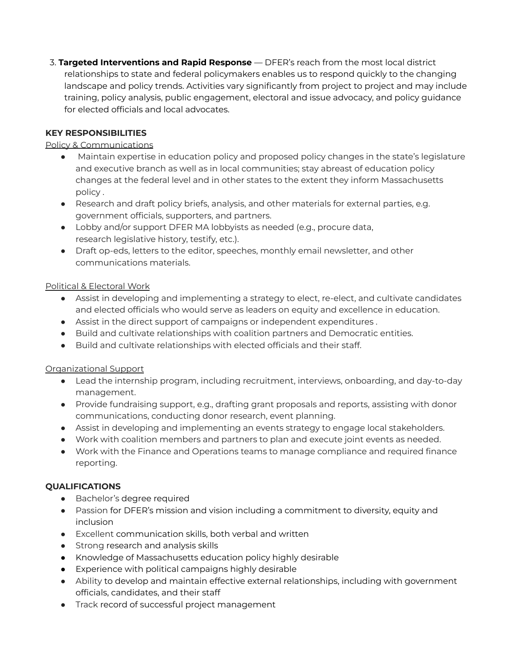3. **Targeted Interventions and Rapid Response** — DFER's reach from the most local district relationships to state and federal policymakers enables us to respond quickly to the changing landscape and policy trends. Activities vary significantly from project to project and may include training, policy analysis, public engagement, electoral and issue advocacy, and policy guidance for elected officials and local advocates.

# **KEY RESPONSIBILITIES**

## Policy & Communications

- Maintain expertise in education policy and proposed policy changes in the state's legislature and executive branch as well as in local communities; stay abreast of education policy changes at the federal level and in other states to the extent they inform Massachusetts policy .
- Research and draft policy briefs, analysis, and other materials for external parties, e.g. government officials, supporters, and partners.
- Lobby and/or support DFER MA lobbyists as needed (e.g., procure data, research legislative history, testify, etc.).
- Draft op-eds, letters to the editor, speeches, monthly email newsletter, and other communications materials.

#### Political & Electoral Work

- Assist in developing and implementing a strategy to elect, re-elect, and cultivate candidates and elected officials who would serve as leaders on equity and excellence in education.
- Assist in the direct support of campaigns or independent expenditures .
- Build and cultivate relationships with coalition partners and Democratic entities.
- Build and cultivate relationships with elected officials and their staff.

## Organizational Support

- Lead the internship program, including recruitment, interviews, onboarding, and day-to-day management.
- Provide fundraising support, e.g., drafting grant proposals and reports, assisting with donor communications, conducting donor research, event planning.
- Assist in developing and implementing an events strategy to engage local stakeholders.
- Work with coalition members and partners to plan and execute joint events as needed.
- Work with the Finance and Operations teams to manage compliance and required finance reporting.

#### **QUALIFICATIONS**

- Bachelor's degree required
- Passion for DFER's mission and vision including a commitment to diversity, equity and inclusion
- Excellent communication skills, both verbal and written
- Strong research and analysis skills
- Knowledge of Massachusetts education policy highly desirable
- Experience with political campaigns highly desirable
- Ability to develop and maintain effective external relationships, including with government officials, candidates, and their staff
- Track record of successful project management